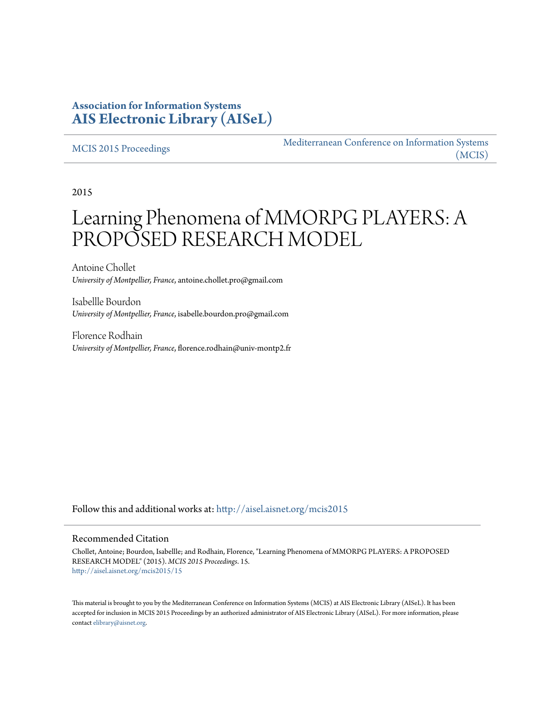## **Association for Information Systems [AIS Electronic Library \(AISeL\)](http://aisel.aisnet.org?utm_source=aisel.aisnet.org%2Fmcis2015%2F15&utm_medium=PDF&utm_campaign=PDFCoverPages)**

#### [MCIS 2015 Proceedings](http://aisel.aisnet.org/mcis2015?utm_source=aisel.aisnet.org%2Fmcis2015%2F15&utm_medium=PDF&utm_campaign=PDFCoverPages)

[Mediterranean Conference on Information Systems](http://aisel.aisnet.org/mcis?utm_source=aisel.aisnet.org%2Fmcis2015%2F15&utm_medium=PDF&utm_campaign=PDFCoverPages) [\(MCIS\)](http://aisel.aisnet.org/mcis?utm_source=aisel.aisnet.org%2Fmcis2015%2F15&utm_medium=PDF&utm_campaign=PDFCoverPages)

2015

# Learning Phenomena of MMORPG PLAYERS: A PROPOSED RESEARCH MODEL

Antoine Chollet *University of Montpellier, France*, antoine.chollet.pro@gmail.com

Isabellle Bourdon *University of Montpellier, France*, isabelle.bourdon.pro@gmail.com

Florence Rodhain *University of Montpellier, France*, florence.rodhain@univ-montp2.fr

Follow this and additional works at: [http://aisel.aisnet.org/mcis2015](http://aisel.aisnet.org/mcis2015?utm_source=aisel.aisnet.org%2Fmcis2015%2F15&utm_medium=PDF&utm_campaign=PDFCoverPages)

#### Recommended Citation

Chollet, Antoine; Bourdon, Isabellle; and Rodhain, Florence, "Learning Phenomena of MMORPG PLAYERS: A PROPOSED RESEARCH MODEL" (2015). *MCIS 2015 Proceedings*. 15. [http://aisel.aisnet.org/mcis2015/15](http://aisel.aisnet.org/mcis2015/15?utm_source=aisel.aisnet.org%2Fmcis2015%2F15&utm_medium=PDF&utm_campaign=PDFCoverPages)

This material is brought to you by the Mediterranean Conference on Information Systems (MCIS) at AIS Electronic Library (AISeL). It has been accepted for inclusion in MCIS 2015 Proceedings by an authorized administrator of AIS Electronic Library (AISeL). For more information, please contact [elibrary@aisnet.org.](mailto:elibrary@aisnet.org%3E)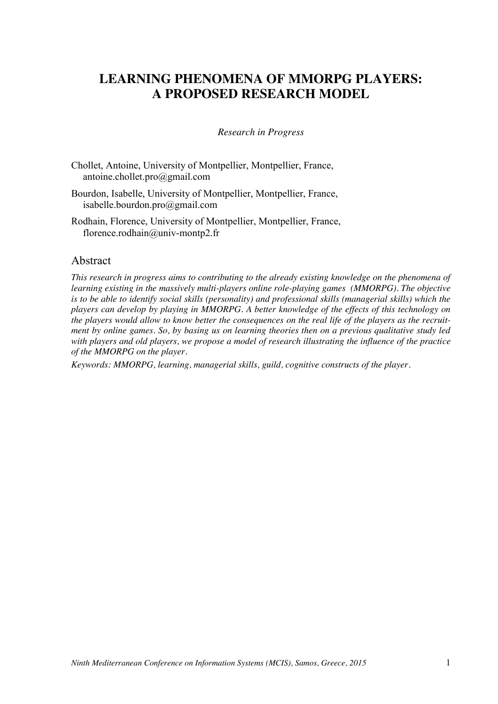# **LEARNING PHENOMENA OF MMORPG PLAYERS: A PROPOSED RESEARCH MODEL**

#### *Research in Progress*

Chollet, Antoine, University of Montpellier, Montpellier, France, antoine.chollet.pro@gmail.com

Bourdon, Isabelle, University of Montpellier, Montpellier, France, isabelle.bourdon.pro@gmail.com

Rodhain, Florence, University of Montpellier, Montpellier, France, florence.rodhain@univ-montp2.fr

#### Abstract

*This research in progress aims to contributing to the already existing knowledge on the phenomena of learning existing in the massively multi-players online role-playing games (MMORPG). The objective is to be able to identify social skills (personality) and professional skills (managerial skills) which the players can develop by playing in MMORPG. A better knowledge of the effects of this technology on the players would allow to know better the consequences on the real life of the players as the recruitment by online games. So, by basing us on learning theories then on a previous qualitative study led with players and old players, we propose a model of research illustrating the influence of the practice of the MMORPG on the player.*

*Keywords: MMORPG, learning, managerial skills, guild, cognitive constructs of the player.*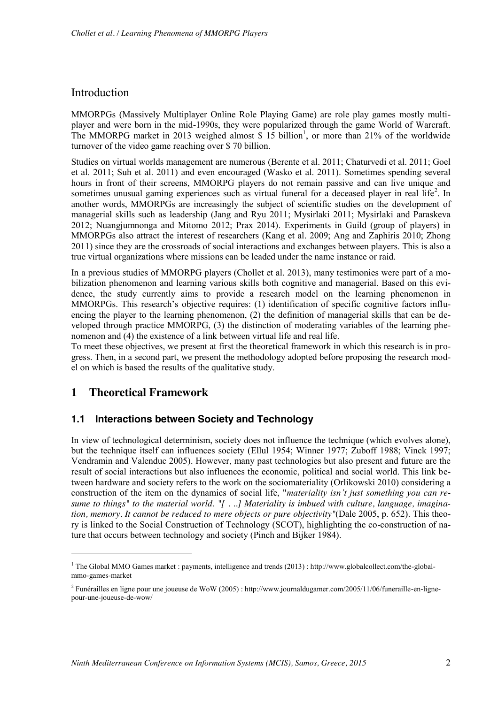## Introduction

MMORPGs (Massively Multiplayer Online Role Playing Game) are role play games mostly multiplayer and were born in the mid-1990s, they were popularized through the game World of Warcraft. The MMORPG market in 2013 weighed almost  $\hat{\mathcal{S}}$  15 billion<sup>1</sup>, or more than 21% of the worldwide turnover of the video game reaching over \$ 70 billion.

Studies on virtual worlds management are numerous (Berente et al. 2011; Chaturvedi et al. 2011; Goel et al. 2011; Suh et al. 2011) and even encouraged (Wasko et al. 2011). Sometimes spending several hours in front of their screens, MMORPG players do not remain passive and can live unique and sometimes unusual gaming experiences such as virtual funeral for a deceased player in real life<sup>2</sup>. In another words, MMORPGs are increasingly the subject of scientific studies on the development of managerial skills such as leadership (Jang and Ryu 2011; Mysirlaki 2011; Mysirlaki and Paraskeva 2012; Nuangjumnonga and Mitomo 2012; Prax 2014). Experiments in Guild (group of players) in MMORPGs also attract the interest of researchers (Kang et al. 2009; Ang and Zaphiris 2010; Zhong 2011) since they are the crossroads of social interactions and exchanges between players. This is also a true virtual organizations where missions can be leaded under the name instance or raid.

In a previous studies of MMORPG players (Chollet et al. 2013), many testimonies were part of a mobilization phenomenon and learning various skills both cognitive and managerial. Based on this evidence, the study currently aims to provide a research model on the learning phenomenon in MMORPGs. This research's objective requires: (1) identification of specific cognitive factors influencing the player to the learning phenomenon, (2) the definition of managerial skills that can be developed through practice MMORPG, (3) the distinction of moderating variables of the learning phenomenon and (4) the existence of a link between virtual life and real life.

To meet these objectives, we present at first the theoretical framework in which this research is in progress. Then, in a second part, we present the methodology adopted before proposing the research model on which is based the results of the qualitative study.

## **1 Theoretical Framework**

1

#### **1.1 Interactions between Society and Technology**

In view of technological determinism, society does not influence the technique (which evolves alone), but the technique itself can influences society (Ellul 1954; Winner 1977; Zuboff 1988; Vinck 1997; Vendramin and Valenduc 2005). However, many past technologies but also present and future are the result of social interactions but also influences the economic, political and social world. This link between hardware and society refers to the work on the sociomateriality (Orlikowski 2010) considering a construction of the item on the dynamics of social life, "*materiality isn't just something you can resume to things" to the material world. "[ . ..] Materiality is imbued with culture, language, imagination, memory. It cannot be reduced to mere objects or pure objectivity"*(Dale 2005, p. 652). This theory is linked to the Social Construction of Technology (SCOT), highlighting the co-construction of nature that occurs between technology and society (Pinch and Bijker 1984).

<sup>1</sup> The Global MMO Games market : payments, intelligence and trends (2013) : http://www.globalcollect.com/the-globalmmo-games-market

<sup>2</sup> Funérailles en ligne pour une joueuse de WoW (2005) : http://www.journaldugamer.com/2005/11/06/funeraille-en-lignepour-une-joueuse-de-wow/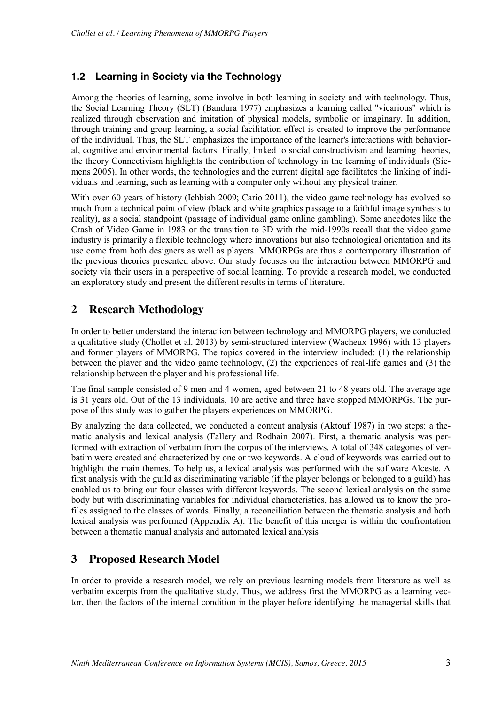## **1.2 Learning in Society via the Technology**

Among the theories of learning, some involve in both learning in society and with technology. Thus, the Social Learning Theory (SLT) (Bandura 1977) emphasizes a learning called "vicarious" which is realized through observation and imitation of physical models, symbolic or imaginary. In addition, through training and group learning, a social facilitation effect is created to improve the performance of the individual. Thus, the SLT emphasizes the importance of the learner's interactions with behavioral, cognitive and environmental factors. Finally, linked to social constructivism and learning theories, the theory Connectivism highlights the contribution of technology in the learning of individuals (Siemens 2005). In other words, the technologies and the current digital age facilitates the linking of individuals and learning, such as learning with a computer only without any physical trainer.

With over 60 years of history (Ichbiah 2009; Cario 2011), the video game technology has evolved so much from a technical point of view (black and white graphics passage to a faithful image synthesis to reality), as a social standpoint (passage of individual game online gambling). Some anecdotes like the Crash of Video Game in 1983 or the transition to 3D with the mid-1990s recall that the video game industry is primarily a flexible technology where innovations but also technological orientation and its use come from both designers as well as players. MMORPGs are thus a contemporary illustration of the previous theories presented above. Our study focuses on the interaction between MMORPG and society via their users in a perspective of social learning. To provide a research model, we conducted an exploratory study and present the different results in terms of literature.

## **2 Research Methodology**

In order to better understand the interaction between technology and MMORPG players, we conducted a qualitative study (Chollet et al. 2013) by semi-structured interview (Wacheux 1996) with 13 players and former players of MMORPG. The topics covered in the interview included: (1) the relationship between the player and the video game technology, (2) the experiences of real-life games and (3) the relationship between the player and his professional life.

The final sample consisted of 9 men and 4 women, aged between 21 to 48 years old. The average age is 31 years old. Out of the 13 individuals, 10 are active and three have stopped MMORPGs. The purpose of this study was to gather the players experiences on MMORPG.

By analyzing the data collected, we conducted a content analysis (Aktouf 1987) in two steps: a thematic analysis and lexical analysis (Fallery and Rodhain 2007). First, a thematic analysis was performed with extraction of verbatim from the corpus of the interviews. A total of 348 categories of verbatim were created and characterized by one or two keywords. A cloud of keywords was carried out to highlight the main themes. To help us, a lexical analysis was performed with the software Alceste. A first analysis with the guild as discriminating variable (if the player belongs or belonged to a guild) has enabled us to bring out four classes with different keywords. The second lexical analysis on the same body but with discriminating variables for individual characteristics, has allowed us to know the profiles assigned to the classes of words. Finally, a reconciliation between the thematic analysis and both lexical analysis was performed (Appendix A). The benefit of this merger is within the confrontation between a thematic manual analysis and automated lexical analysis

## **3 Proposed Research Model**

In order to provide a research model, we rely on previous learning models from literature as well as verbatim excerpts from the qualitative study. Thus, we address first the MMORPG as a learning vector, then the factors of the internal condition in the player before identifying the managerial skills that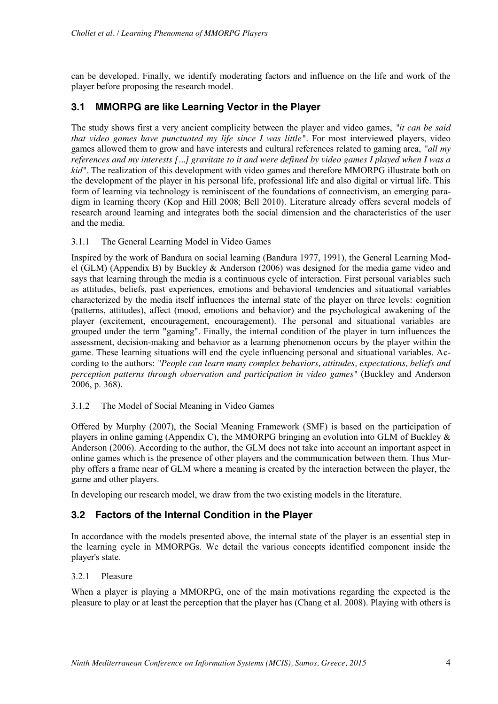can be developed. Finally, we identify moderating factors and influence on the life and work of the player before proposing the research model.

## **3.1 MMORPG are like Learning Vector in the Player**

The study shows first a very ancient complicity between the player and video games, *"it can be said that video games have punctuated my life since I was little".* For most interviewed players, video games allowed them to grow and have interests and cultural references related to gaming area, *"all my references and my interests [...] gravitate to it and were defined by video games I played when I was a kid".* The realization of this development with video games and therefore MMORPG illustrate both on the development of the player in his personal life, professional life and also digital or virtual life. This form of learning via technology is reminiscent of the foundations of connectivism, an emerging paradigm in learning theory (Kop and Hill 2008; Bell 2010). Literature already offers several models of research around learning and integrates both the social dimension and the characteristics of the user and the media.

#### 3.1.1 The General Learning Model in Video Games

Inspired by the work of Bandura on social learning (Bandura 1977, 1991), the General Learning Model (GLM) (Appendix B) by Buckley & Anderson (2006) was designed for the media game video and says that learning through the media is a continuous cycle of interaction. First personal variables such as attitudes, beliefs, past experiences, emotions and behavioral tendencies and situational variables characterized by the media itself influences the internal state of the player on three levels: cognition (patterns, attitudes), affect (mood, emotions and behavior) and the psychological awakening of the player (excitement, encouragement, encouragement). The personal and situational variables are grouped under the term "gaming". Finally, the internal condition of the player in turn influences the assessment, decision-making and behavior as a learning phenomenon occurs by the player within the game. These learning situations will end the cycle influencing personal and situational variables. According to the authors: *"People can learn many complex behaviors, attitudes, expectations, beliefs and perception patterns through observation and participation in video games"* (Buckley and Anderson 2006, p. 368).

#### 3.1.2 The Model of Social Meaning in Video Games

Offered by Murphy (2007), the Social Meaning Framework (SMF) is based on the participation of players in online gaming (Appendix C), the MMORPG bringing an evolution into GLM of Buckley  $\&$ Anderson (2006). According to the author, the GLM does not take into account an important aspect in online games which is the presence of other players and the communication between them. Thus Murphy offers a frame near of GLM where a meaning is created by the interaction between the player, the game and other players.

In developing our research model, we draw from the two existing models in the literature.

#### **3.2 Factors of the Internal Condition in the Player**

In accordance with the models presented above, the internal state of the player is an essential step in the learning cycle in MMORPGs. We detail the various concepts identified component inside the player's state.

#### 3.2.1 Pleasure

When a player is playing a MMORPG, one of the main motivations regarding the expected is the pleasure to play or at least the perception that the player has (Chang et al. 2008). Playing with others is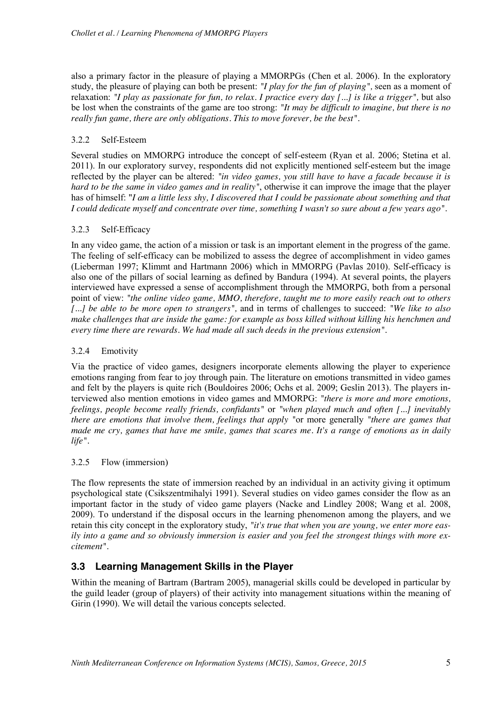also a primary factor in the pleasure of playing a MMORPGs (Chen et al. 2006). In the exploratory study, the pleasure of playing can both be present: *"I play for the fun of playing",* seen as a moment of relaxation: *"I play as passionate for fun, to relax. I practice every day [...] is like a trigger",* but also be lost when the constraints of the game are too strong: *"It may be difficult to imagine, but there is no really fun game, there are only obligations. This to move forever, be the best".*

#### 3.2.2 Self-Esteem

Several studies on MMORPG introduce the concept of self-esteem (Ryan et al. 2006; Stetina et al. 2011). In our exploratory survey, respondents did not explicitly mentioned self-esteem but the image reflected by the player can be altered: *"in video games, you still have to have a facade because it is hard to be the same in video games and in reality"*, otherwise it can improve the image that the player has of himself: "*I am a little less shy, I discovered that I could be passionate about something and that I could dedicate myself and concentrate over time, something I wasn't so sure about a few years ago".*

#### 3.2.3 Self-Efficacy

In any video game, the action of a mission or task is an important element in the progress of the game. The feeling of self-efficacy can be mobilized to assess the degree of accomplishment in video games (Lieberman 1997; Klimmt and Hartmann 2006) which in MMORPG (Pavlas 2010). Self-efficacy is also one of the pillars of social learning as defined by Bandura (1994). At several points, the players interviewed have expressed a sense of accomplishment through the MMORPG, both from a personal point of view: *"the online video game, MMO, therefore, taught me to more easily reach out to others [...] be able to be more open to strangers",* and in terms of challenges to succeed: *"We like to also make challenges that are inside the game: for example as boss killed without killing his henchmen and every time there are rewards. We had made all such deeds in the previous extension".*

#### 3.2.4 Emotivity

Via the practice of video games, designers incorporate elements allowing the player to experience emotions ranging from fear to joy through pain. The literature on emotions transmitted in video games and felt by the players is quite rich (Bouldoires 2006; Ochs et al. 2009; Geslin 2013). The players interviewed also mention emotions in video games and MMORPG: *"there is more and more emotions, feelings, people become really friends, confidants"* or *"when played much and often [...] inevitably there are emotions that involve them, feelings that apply "*or more generally *"there are games that made me cry, games that have me smile, games that scares me. It's a range of emotions as in daily life".*

#### 3.2.5 Flow (immersion)

The flow represents the state of immersion reached by an individual in an activity giving it optimum psychological state (Csikszentmihalyi 1991). Several studies on video games consider the flow as an important factor in the study of video game players (Nacke and Lindley 2008; Wang et al. 2008, 2009). To understand if the disposal occurs in the learning phenomenon among the players, and we retain this city concept in the exploratory study, *"it's true that when you are young, we enter more easily into a game and so obviously immersion is easier and you feel the strongest things with more excitement".*

#### **3.3 Learning Management Skills in the Player**

Within the meaning of Bartram (Bartram 2005), managerial skills could be developed in particular by the guild leader (group of players) of their activity into management situations within the meaning of Girin (1990). We will detail the various concepts selected.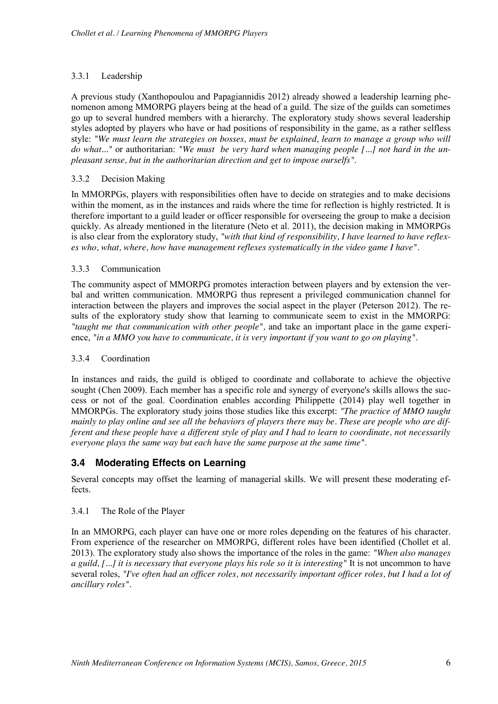#### 3.3.1 Leadership

A previous study (Xanthopoulou and Papagiannidis 2012) already showed a leadership learning phenomenon among MMORPG players being at the head of a guild. The size of the guilds can sometimes go up to several hundred members with a hierarchy. The exploratory study shows several leadership styles adopted by players who have or had positions of responsibility in the game, as a rather selfless style: *"We must learn the strategies on bosses, must be explained, learn to manage a group who will do what..."* or authoritarian: *"We must be very hard when managing people [...] not hard in the unpleasant sense, but in the authoritarian direction and get to impose ourselfs"*.

#### 3.3.2 Decision Making

In MMORPGs, players with responsibilities often have to decide on strategies and to make decisions within the moment, as in the instances and raids where the time for reflection is highly restricted. It is therefore important to a guild leader or officer responsible for overseeing the group to make a decision quickly. As already mentioned in the literature (Neto et al. 2011), the decision making in MMORPGs is also clear from the exploratory study, *"with that kind of responsibility, I have learned to have reflexes who, what, where, how have management reflexes systematically in the video game I have".*

#### 3.3.3 Communication

The community aspect of MMORPG promotes interaction between players and by extension the verbal and written communication. MMORPG thus represent a privileged communication channel for interaction between the players and improves the social aspect in the player (Peterson 2012). The results of the exploratory study show that learning to communicate seem to exist in the MMORPG: *"taught me that communication with other people",* and take an important place in the game experience, *"in a MMO you have to communicate, it is very important if you want to go on playing".*

#### 3.3.4 Coordination

In instances and raids, the guild is obliged to coordinate and collaborate to achieve the objective sought (Chen 2009). Each member has a specific role and synergy of everyone's skills allows the success or not of the goal. Coordination enables according Philippette (2014) play well together in MMORPGs. The exploratory study joins those studies like this excerpt: *"The practice of MMO taught mainly to play online and see all the behaviors of players there may be. These are people who are different and these people have a different style of play and I had to learn to coordinate, not necessarily everyone plays the same way but each have the same purpose at the same time".*

## **3.4 Moderating Effects on Learning**

Several concepts may offset the learning of managerial skills. We will present these moderating effects.

#### 3.4.1 The Role of the Player

In an MMORPG, each player can have one or more roles depending on the features of his character. From experience of the researcher on MMORPG, different roles have been identified (Chollet et al. 2013). The exploratory study also shows the importance of the roles in the game: *"When also manages a guild, [...] it is necessary that everyone plays his role so it is interesting"* It is not uncommon to have several roles, *"I've often had an officer roles, not necessarily important officer roles, but I had a lot of ancillary roles".*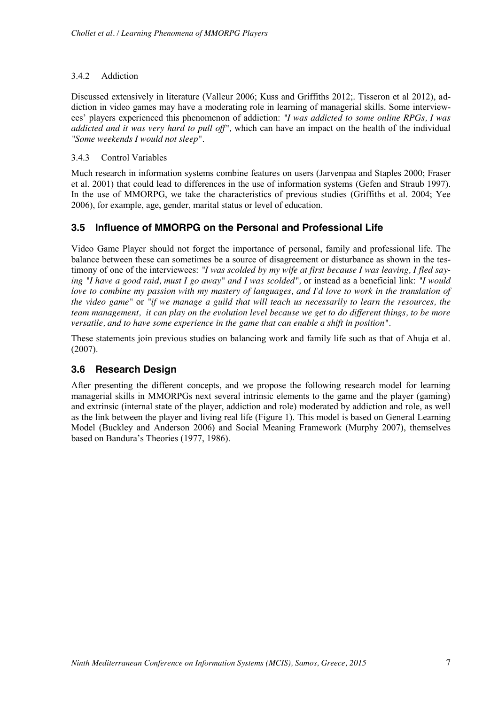#### 3.4.2 Addiction

Discussed extensively in literature (Valleur 2006; Kuss and Griffiths 2012;. Tisseron et al 2012), addiction in video games may have a moderating role in learning of managerial skills. Some interviewees' players experienced this phenomenon of addiction: *"I was addicted to some online RPGs, I was addicted and it was very hard to pull off",* which can have an impact on the health of the individual *"Some weekends I would not sleep".*

#### 3.4.3 Control Variables

Much research in information systems combine features on users (Jarvenpaa and Staples 2000; Fraser et al. 2001) that could lead to differences in the use of information systems (Gefen and Straub 1997). In the use of MMORPG, we take the characteristics of previous studies (Griffiths et al. 2004; Yee 2006), for example, age, gender, marital status or level of education.

## **3.5 Influence of MMORPG on the Personal and Professional Life**

Video Game Player should not forget the importance of personal, family and professional life. The balance between these can sometimes be a source of disagreement or disturbance as shown in the testimony of one of the interviewees: *"I was scolded by my wife at first because I was leaving, I fled saying "I have a good raid, must I go away" and I was scolded",* or instead as a beneficial link: *"I would love to combine my passion with my mastery of languages, and I'd love to work in the translation of the video game"* or *"if we manage a guild that will teach us necessarily to learn the resources, the team management, it can play on the evolution level because we get to do different things, to be more versatile, and to have some experience in the game that can enable a shift in position".*

These statements join previous studies on balancing work and family life such as that of Ahuja et al. (2007).

## **3.6 Research Design**

After presenting the different concepts, and we propose the following research model for learning managerial skills in MMORPGs next several intrinsic elements to the game and the player (gaming) and extrinsic (internal state of the player, addiction and role) moderated by addiction and role, as well as the link between the player and living real life (Figure 1). This model is based on General Learning Model (Buckley and Anderson 2006) and Social Meaning Framework (Murphy 2007), themselves based on Bandura's Theories (1977, 1986).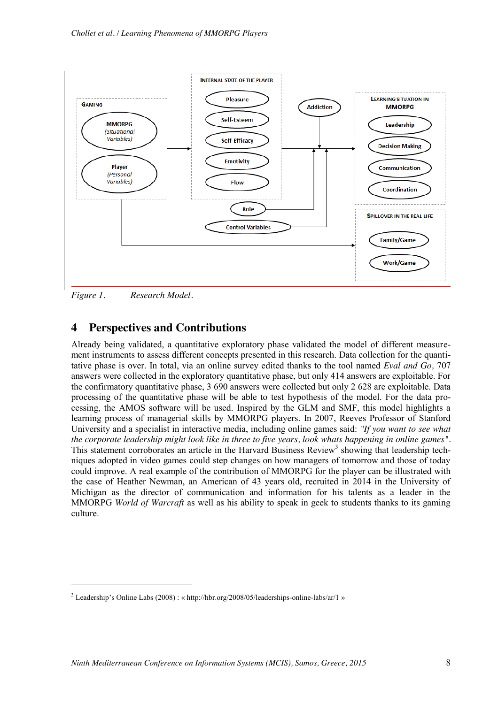

*Figure 1. Research Model.*

1

## **4 Perspectives and Contributions**

Already being validated, a quantitative exploratory phase validated the model of different measurement instruments to assess different concepts presented in this research. Data collection for the quantitative phase is over. In total, via an online survey edited thanks to the tool named *Eval and Go,* 707 answers were collected in the exploratory quantitative phase, but only 414 answers are exploitable. For the confirmatory quantitative phase, 3 690 answers were collected but only 2 628 are exploitable. Data processing of the quantitative phase will be able to test hypothesis of the model. For the data processing, the AMOS software will be used. Inspired by the GLM and SMF, this model highlights a learning process of managerial skills by MMORPG players. In 2007, Reeves Professor of Stanford University and a specialist in interactive media, including online games said: *"If you want to see what the corporate leadership might look like in three to five years, look whats happening in online games".* This statement corroborates an article in the Harvard Business Review<sup>3</sup> showing that leadership techniques adopted in video games could step changes on how managers of tomorrow and those of today could improve. A real example of the contribution of MMORPG for the player can be illustrated with the case of Heather Newman, an American of 43 years old, recruited in 2014 in the University of Michigan as the director of communication and information for his talents as a leader in the MMORPG *World of Warcraft* as well as his ability to speak in geek to students thanks to its gaming culture.

<sup>3</sup> Leadership's Online Labs (2008) : « http://hbr.org/2008/05/leaderships-online-labs/ar/1 »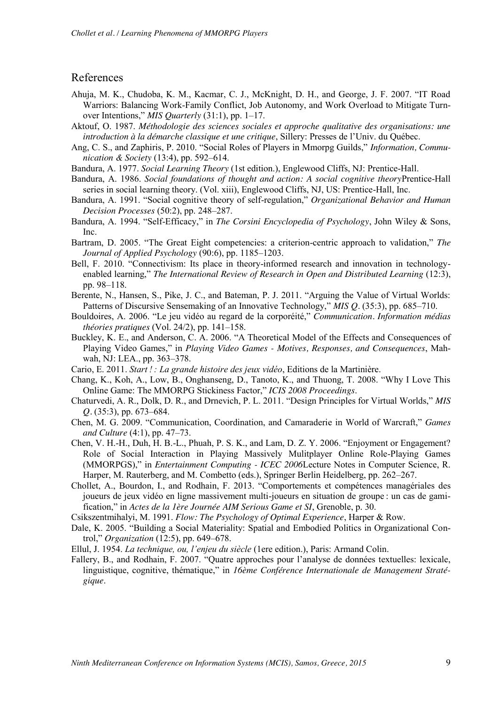#### References

- Ahuja, M. K., Chudoba, K. M., Kacmar, C. J., McKnight, D. H., and George, J. F. 2007. "IT Road Warriors: Balancing Work-Family Conflict, Job Autonomy, and Work Overload to Mitigate Turnover Intentions," *MIS Quarterly* (31:1), pp. 1–17.
- Aktouf, O. 1987. *Méthodologie des sciences sociales et approche qualitative des organisations: une introduction à la démarche classique et une critique*, Sillery: Presses de l'Univ. du Québec.
- Ang, C. S., and Zaphiris, P. 2010. "Social Roles of Players in Mmorpg Guilds," *Information, Communication & Society* (13:4), pp. 592–614.
- Bandura, A. 1977. *Social Learning Theory* (1st edition.), Englewood Cliffs, NJ: Prentice-Hall.
- Bandura, A. 1986. *Social foundations of thought and action: A social cognitive theory*Prentice-Hall series in social learning theory. (Vol. xiii), Englewood Cliffs, NJ, US: Prentice-Hall, Inc.
- Bandura, A. 1991. "Social cognitive theory of self-regulation," *Organizational Behavior and Human Decision Processes* (50:2), pp. 248–287.
- Bandura, A. 1994. "Self-Efficacy," in *The Corsini Encyclopedia of Psychology*, John Wiley & Sons, Inc.
- Bartram, D. 2005. "The Great Eight competencies: a criterion-centric approach to validation," *The Journal of Applied Psychology* (90:6), pp. 1185–1203.
- Bell, F. 2010. "Connectivism: Its place in theory-informed research and innovation in technologyenabled learning," *The International Review of Research in Open and Distributed Learning* (12:3), pp. 98–118.
- Berente, N., Hansen, S., Pike, J. C., and Bateman, P. J. 2011. "Arguing the Value of Virtual Worlds: Patterns of Discursive Sensemaking of an Innovative Technology," *MIS Q.* (35:3), pp. 685–710.
- Bouldoires, A. 2006. "Le jeu vidéo au regard de la corporéité," *Communication. Information médias théories pratiques* (Vol. 24/2), pp. 141–158.
- Buckley, K. E., and Anderson, C. A. 2006. "A Theoretical Model of the Effects and Consequences of Playing Video Games," in *Playing Video Games - Motives, Responses, and Consequences*, Mahwah, NJ: LEA., pp. 363–378.
- Cario, E. 2011. *Start ! : La grande histoire des jeux vidéo*, Editions de la Martinière.
- Chang, K., Koh, A., Low, B., Onghanseng, D., Tanoto, K., and Thuong, T. 2008. "Why I Love This Online Game: The MMORPG Stickiness Factor," *ICIS 2008 Proceedings*.
- Chaturvedi, A. R., Dolk, D. R., and Drnevich, P. L. 2011. "Design Principles for Virtual Worlds," *MIS Q.* (35:3), pp. 673–684.
- Chen, M. G. 2009. "Communication, Coordination, and Camaraderie in World of Warcraft," *Games and Culture* (4:1), pp. 47–73.
- Chen, V. H.-H., Duh, H. B.-L., Phuah, P. S. K., and Lam, D. Z. Y. 2006. "Enjoyment or Engagement? Role of Social Interaction in Playing Massively Mulitplayer Online Role-Playing Games (MMORPGS)," in *Entertainment Computing - ICEC 2006*Lecture Notes in Computer Science, R. Harper, M. Rauterberg, and M. Combetto (eds.), Springer Berlin Heidelberg, pp. 262–267.
- Chollet, A., Bourdon, I., and Rodhain, F. 2013. "Comportements et compétences managériales des joueurs de jeux vidéo en ligne massivement multi-joueurs en situation de groupe : un cas de gamification," in *Actes de la 1ère Journée AIM Serious Game et SI*, Grenoble, p. 30.
- Csikszentmihalyi, M. 1991. *Flow: The Psychology of Optimal Experience*, Harper & Row.
- Dale, K. 2005. "Building a Social Materiality: Spatial and Embodied Politics in Organizational Control," *Organization* (12:5), pp. 649–678.
- Ellul, J. 1954. *La technique, ou, l'enjeu du siècle* (1ere edition.), Paris: Armand Colin.
- Fallery, B., and Rodhain, F. 2007. "Quatre approches pour l'analyse de données textuelles: lexicale, linguistique, cognitive, thématique," in *16ème Conférence Internationale de Management Stratégique*.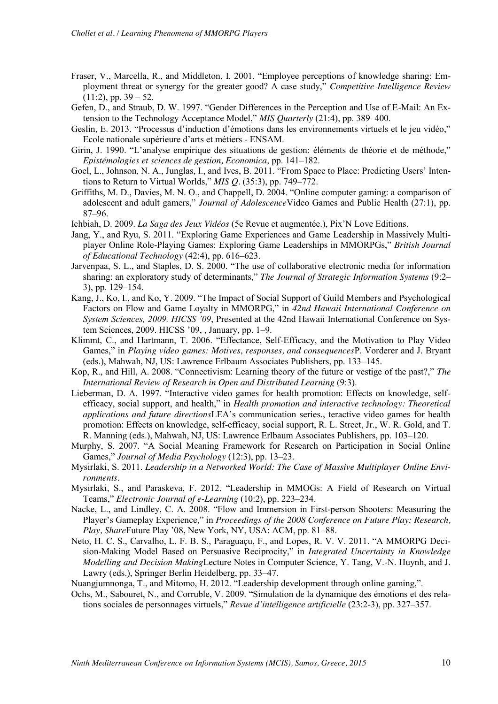- Fraser, V., Marcella, R., and Middleton, I. 2001. "Employee perceptions of knowledge sharing: Employment threat or synergy for the greater good? A case study," *Competitive Intelligence Review*  $(11:2)$ , pp.  $39 - 52$ .
- Gefen, D., and Straub, D. W. 1997. "Gender Differences in the Perception and Use of E-Mail: An Extension to the Technology Acceptance Model," *MIS Quarterly* (21:4), pp. 389–400.
- Geslin, E. 2013. "Processus d'induction d'émotions dans les environnements virtuels et le jeu vidéo," Ecole nationale supérieure d'arts et métiers - ENSAM.
- Girin, J. 1990. "L'analyse empirique des situations de gestion: éléments de théorie et de méthode," *Epistémologies et sciences de gestion, Economica*, pp. 141–182.
- Goel, L., Johnson, N. A., Junglas, I., and Ives, B. 2011. "From Space to Place: Predicting Users' Intentions to Return to Virtual Worlds," *MIS Q.* (35:3), pp. 749–772.
- Griffiths, M. D., Davies, M. N. O., and Chappell, D. 2004. "Online computer gaming: a comparison of adolescent and adult gamers," *Journal of Adolescence*Video Games and Public Health (27:1), pp. 87–96.
- Ichbiah, D. 2009. *La Saga des Jeux Vidéos* (5e Revue et augmentée.), Pix'N Love Editions.
- Jang, Y., and Ryu, S. 2011. "Exploring Game Experiences and Game Leadership in Massively Multiplayer Online Role-Playing Games: Exploring Game Leaderships in MMORPGs," *British Journal of Educational Technology* (42:4), pp. 616–623.
- Jarvenpaa, S. L., and Staples, D. S. 2000. "The use of collaborative electronic media for information sharing: an exploratory study of determinants," *The Journal of Strategic Information Systems* (9:2– 3), pp. 129–154.
- Kang, J., Ko, I., and Ko, Y. 2009. "The Impact of Social Support of Guild Members and Psychological Factors on Flow and Game Loyalty in MMORPG," in *42nd Hawaii International Conference on System Sciences, 2009. HICSS '09*, Presented at the 42nd Hawaii International Conference on System Sciences, 2009. HICSS '09, , January, pp. 1–9.
- Klimmt, C., and Hartmann, T. 2006. "Effectance, Self-Efficacy, and the Motivation to Play Video Games," in *Playing video games: Motives, responses, and consequences*P. Vorderer and J. Bryant (eds.), Mahwah, NJ, US: Lawrence Erlbaum Associates Publishers, pp. 133–145.
- Kop, R., and Hill, A. 2008. "Connectivism: Learning theory of the future or vestige of the past?," *The International Review of Research in Open and Distributed Learning* (9:3).
- Lieberman, D. A. 1997. "Interactive video games for health promotion: Effects on knowledge, selfefficacy, social support, and health," in *Health promotion and interactive technology: Theoretical applications and future directions*LEA's communication series., teractive video games for health promotion: Effects on knowledge, self-efficacy, social support, R. L. Street, Jr., W. R. Gold, and T. R. Manning (eds.), Mahwah, NJ, US: Lawrence Erlbaum Associates Publishers, pp. 103–120.
- Murphy, S. 2007. "A Social Meaning Framework for Research on Participation in Social Online Games," *Journal of Media Psychology* (12:3), pp. 13–23.
- Mysirlaki, S. 2011. *Leadership in a Networked World: The Case of Massive Multiplayer Online Environments*.
- Mysirlaki, S., and Paraskeva, F. 2012. "Leadership in MMOGs: A Field of Research on Virtual Teams," *Electronic Journal of e-Learning* (10:2), pp. 223–234.
- Nacke, L., and Lindley, C. A. 2008. "Flow and Immersion in First-person Shooters: Measuring the Player's Gameplay Experience," in *Proceedings of the 2008 Conference on Future Play: Research, Play, Share*Future Play '08, New York, NY, USA: ACM, pp. 81–88.
- Neto, H. C. S., Carvalho, L. F. B. S., Paraguaçu, F., and Lopes, R. V. V. 2011. "A MMORPG Decision-Making Model Based on Persuasive Reciprocity," in *Integrated Uncertainty in Knowledge Modelling and Decision Making*Lecture Notes in Computer Science, Y. Tang, V.-N. Huynh, and J. Lawry (eds.), Springer Berlin Heidelberg, pp. 33–47.

Nuangjumnonga, T., and Mitomo, H. 2012. "Leadership development through online gaming,".

Ochs, M., Sabouret, N., and Corruble, V. 2009. "Simulation de la dynamique des émotions et des relations sociales de personnages virtuels," *Revue d'intelligence artificielle* (23:2-3), pp. 327–357.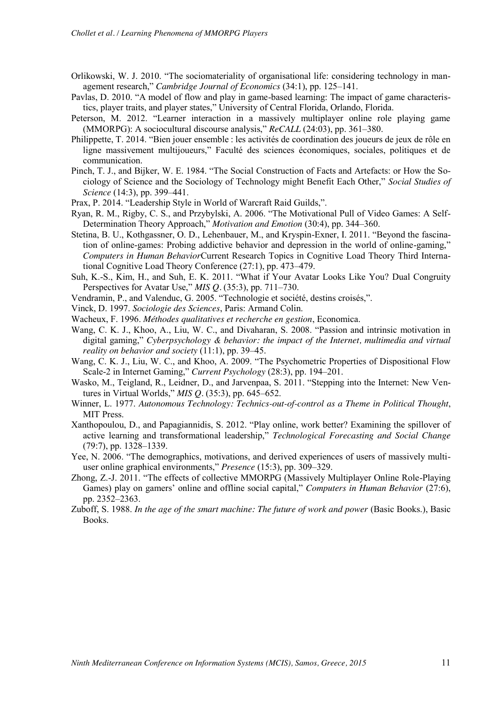- Orlikowski, W. J. 2010. "The sociomateriality of organisational life: considering technology in management research," *Cambridge Journal of Economics* (34:1), pp. 125–141.
- Pavlas, D. 2010. "A model of flow and play in game-based learning: The impact of game characteristics, player traits, and player states," University of Central Florida, Orlando, Florida.
- Peterson, M. 2012. "Learner interaction in a massively multiplayer online role playing game (MMORPG): A sociocultural discourse analysis," *ReCALL* (24:03), pp. 361–380.
- Philippette, T. 2014. "Bien jouer ensemble : les activités de coordination des joueurs de jeux de rôle en ligne massivement multijoueurs," Faculté des sciences économiques, sociales, politiques et de communication.
- Pinch, T. J., and Bijker, W. E. 1984. "The Social Construction of Facts and Artefacts: or How the Sociology of Science and the Sociology of Technology might Benefit Each Other," *Social Studies of Science* (14:3), pp. 399–441.
- Prax, P. 2014. "Leadership Style in World of Warcraft Raid Guilds,".
- Ryan, R. M., Rigby, C. S., and Przybylski, A. 2006. "The Motivational Pull of Video Games: A Self-Determination Theory Approach," *Motivation and Emotion* (30:4), pp. 344–360.
- Stetina, B. U., Kothgassner, O. D., Lehenbauer, M., and Kryspin-Exner, I. 2011. "Beyond the fascination of online-games: Probing addictive behavior and depression in the world of online-gaming," *Computers in Human Behavior*Current Research Topics in Cognitive Load Theory Third International Cognitive Load Theory Conference (27:1), pp. 473–479.
- Suh, K.-S., Kim, H., and Suh, E. K. 2011. "What if Your Avatar Looks Like You? Dual Congruity Perspectives for Avatar Use," *MIS Q.* (35:3), pp. 711–730.
- Vendramin, P., and Valenduc, G. 2005. "Technologie et société, destins croisés,".
- Vinck, D. 1997. *Sociologie des Sciences*, Paris: Armand Colin.
- Wacheux, F. 1996. *Méthodes qualitatives et recherche en gestion*, Economica.
- Wang, C. K. J., Khoo, A., Liu, W. C., and Divaharan, S. 2008. "Passion and intrinsic motivation in digital gaming," *Cyberpsychology & behavior: the impact of the Internet, multimedia and virtual reality on behavior and society* (11:1), pp. 39–45.
- Wang, C. K. J., Liu, W. C., and Khoo, A. 2009. "The Psychometric Properties of Dispositional Flow Scale-2 in Internet Gaming," *Current Psychology* (28:3), pp. 194–201.
- Wasko, M., Teigland, R., Leidner, D., and Jarvenpaa, S. 2011. "Stepping into the Internet: New Ventures in Virtual Worlds," *MIS Q.* (35:3), pp. 645–652.
- Winner, L. 1977. *Autonomous Technology: Technics-out-of-control as a Theme in Political Thought*, MIT Press.
- Xanthopoulou, D., and Papagiannidis, S. 2012. "Play online, work better? Examining the spillover of active learning and transformational leadership," *Technological Forecasting and Social Change* (79:7), pp. 1328–1339.
- Yee, N. 2006. "The demographics, motivations, and derived experiences of users of massively multiuser online graphical environments," *Presence* (15:3), pp. 309–329.
- Zhong, Z.-J. 2011. "The effects of collective MMORPG (Massively Multiplayer Online Role-Playing Games) play on gamers' online and offline social capital," *Computers in Human Behavior* (27:6), pp. 2352–2363.
- Zuboff, S. 1988. *In the age of the smart machine: The future of work and power* (Basic Books.), Basic Books.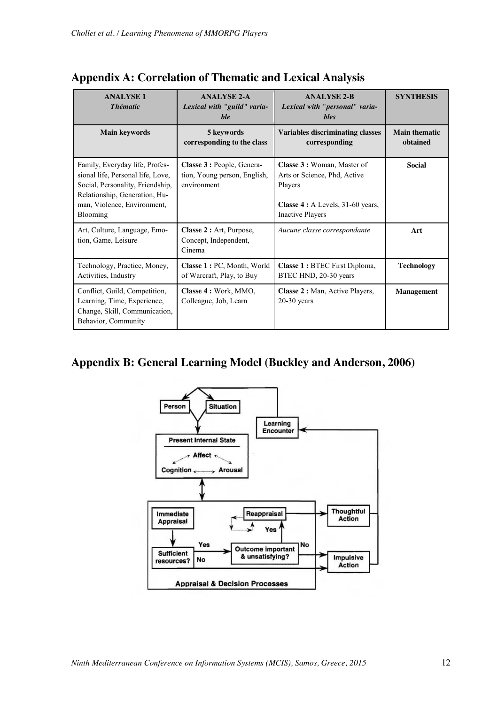| <b>ANALYSE1</b><br><b>Thématic</b>                                                                                                                                                  | <b>ANALYSE 2-A</b><br>Lexical with "guild" varia-<br>ble                  | <b>ANALYSE 2-B</b><br>Lexical with "personal" varia-<br><b>bles</b>                                                                    | <b>SYNTHESIS</b>                 |
|-------------------------------------------------------------------------------------------------------------------------------------------------------------------------------------|---------------------------------------------------------------------------|----------------------------------------------------------------------------------------------------------------------------------------|----------------------------------|
| <b>Main keywords</b>                                                                                                                                                                | 5 keywords<br>corresponding to the class                                  | <b>Variables discriminating classes</b><br>corresponding                                                                               | <b>Main thematic</b><br>obtained |
| Family, Everyday life, Profes-<br>sional life, Personal life, Love,<br>Social, Personality, Friendship,<br>Relationship, Generation, Hu-<br>man, Violence, Environment,<br>Blooming | Classe 3 : People, Genera-<br>tion, Young person, English,<br>environment | Classe 3 : Woman, Master of<br>Arts or Science, Phd, Active<br>Players<br>Classe 4 : A Levels, 31-60 years,<br><b>Inactive Players</b> | <b>Social</b>                    |
| Art, Culture, Language, Emo-<br>tion, Game, Leisure                                                                                                                                 | Classe 2 : Art, Purpose,<br>Concept, Independent,<br>Cinema               | Aucune classe correspondante                                                                                                           | Art                              |
| Technology, Practice, Money,<br>Activities, Industry                                                                                                                                | Classe 1: PC, Month, World<br>of Warcraft, Play, to Buy                   | <b>Classe 1 : BTEC First Diploma,</b><br>BTEC HND, 20-30 years                                                                         | <b>Technology</b>                |
| Conflict, Guild, Competition,<br>Learning, Time, Experience,<br>Change, Skill, Communication,<br>Behavior, Community                                                                | Classe 4 : Work, MMO,<br>Colleague, Job, Learn                            | Classe 2 : Man, Active Players,<br>$20-30$ years                                                                                       | <b>Management</b>                |

## **Appendix A: Correlation of Thematic and Lexical Analysis**

## **Appendix B: General Learning Model (Buckley and Anderson, 2006)**